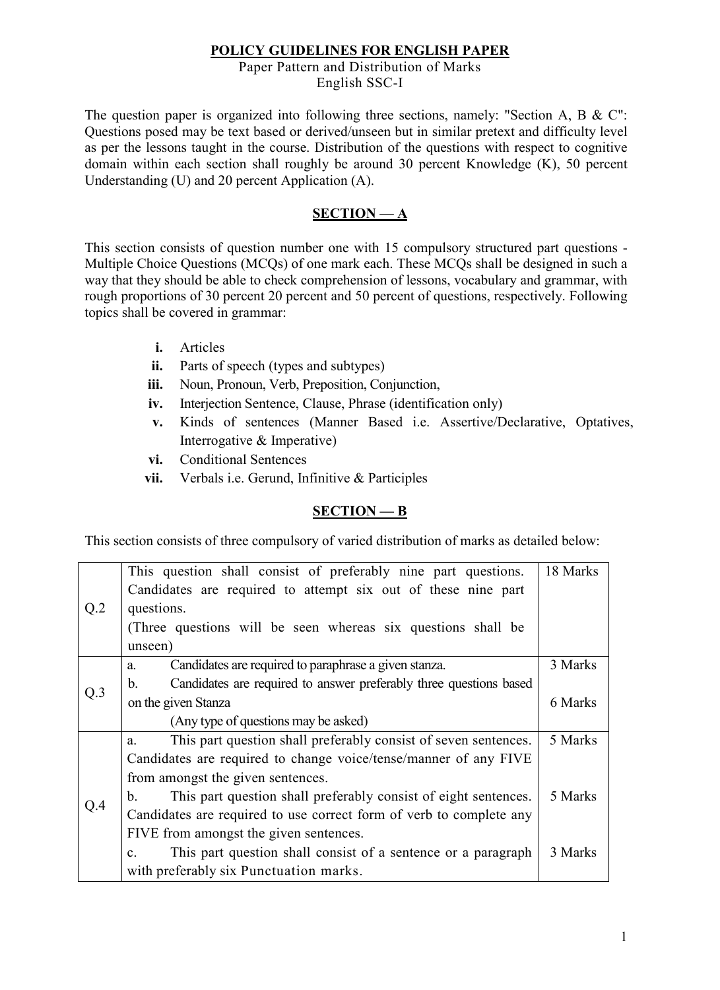#### **POLICY GUIDELINES FOR ENGLISH PAPER**

#### Paper Pattern and Distribution of Marks English SSC-I

The question paper is organized into following three sections, namely: "Section A, B & C": Questions posed may be text based or derived/unseen but in similar pretext and difficulty level as per the lessons taught in the course. Distribution of the questions with respect to cognitive domain within each section shall roughly be around 30 percent Knowledge (K), 50 percent Understanding (U) and 20 percent Application (A).

### **SECTION — A**

This section consists of question number one with 15 compulsory structured part questions - Multiple Choice Questions (MCQs) of one mark each. These MCQs shall be designed in such a way that they should be able to check comprehension of lessons, vocabulary and grammar, with rough proportions of 30 percent 20 percent and 50 percent of questions, respectively. Following topics shall be covered in grammar:

- **i.** Articles
- **ii.** Parts of speech (types and subtypes)
- **iii.** Noun, Pronoun, Verb, Preposition, Conjunction,
- **iv.** Interjection Sentence, Clause, Phrase (identification only)
- **v.** Kinds of sentences (Manner Based i.e. Assertive/Declarative, Optatives, Interrogative & Imperative)
- **vi.** Conditional Sentences
- **vii.** Verbals i.e. Gerund, Infinitive & Participles

#### **SECTION — B**

This section consists of three compulsory of varied distribution of marks as detailed below:

|     | This question shall consist of preferably nine part questions.                  | 18 Marks |  |  |
|-----|---------------------------------------------------------------------------------|----------|--|--|
| Q.2 | Candidates are required to attempt six out of these nine part                   |          |  |  |
|     | questions.                                                                      |          |  |  |
|     | (Three questions will be seen whereas six questions shall be                    |          |  |  |
|     | unseen)                                                                         |          |  |  |
|     | Candidates are required to paraphrase a given stanza.<br>a.                     | 3 Marks  |  |  |
| Q.3 | Candidates are required to answer preferably three questions based<br>b.        |          |  |  |
|     | on the given Stanza                                                             | 6 Marks  |  |  |
|     | (Any type of questions may be asked)                                            |          |  |  |
|     | This part question shall preferably consist of seven sentences.<br>a.           | 5 Marks  |  |  |
|     | Candidates are required to change voice/tense/manner of any FIVE                |          |  |  |
| Q.4 | from amongst the given sentences.                                               |          |  |  |
|     | This part question shall preferably consist of eight sentences.<br>b.           | 5 Marks  |  |  |
|     | Candidates are required to use correct form of verb to complete any             |          |  |  |
|     | FIVE from amongst the given sentences.                                          |          |  |  |
|     | This part question shall consist of a sentence or a paragraph<br>$\mathbf{c}$ . | 3 Marks  |  |  |
|     | with preferably six Punctuation marks.                                          |          |  |  |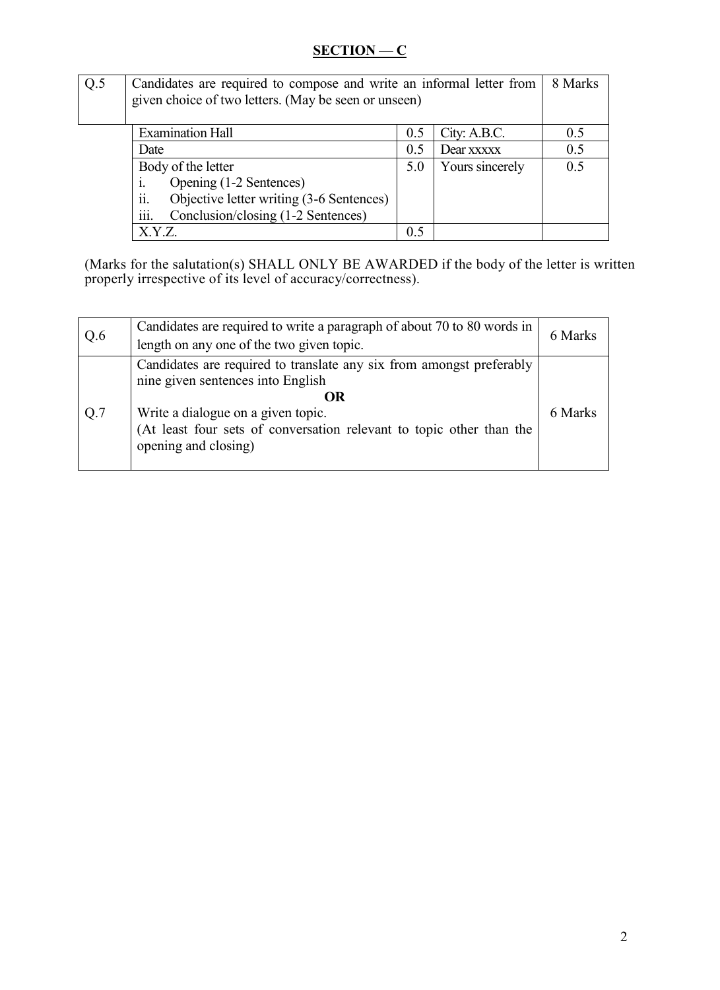## **SECTION — C**

| Q.5 | Candidates are required to compose and write an informal letter from<br>given choice of two letters. (May be seen or unseen) |     |                 | 8 Marks |
|-----|------------------------------------------------------------------------------------------------------------------------------|-----|-----------------|---------|
|     | <b>Examination Hall</b>                                                                                                      | 0.5 | City: A.B.C.    | 0.5     |
|     | Date                                                                                                                         | 0.5 | Dear xxxxx      | 0.5     |
|     | Body of the letter                                                                                                           |     | Yours sincerely | 0.5     |
|     | Opening (1-2 Sentences)                                                                                                      |     |                 |         |
|     | Objective letter writing (3-6 Sentences)<br>11.                                                                              |     |                 |         |
|     | $\ddotsc$<br>Conclusion/closing (1-2 Sentences)<br>111.                                                                      |     |                 |         |
|     | X.Y.Z.                                                                                                                       | 0.5 |                 |         |

(Marks for the salutation(s) SHALL ONLY BE AWARDED if the body of the letter is written properly irrespective of its level of accuracy/correctness).

| Q.6 | Candidates are required to write a paragraph of about 70 to 80 words in<br>length on any one of the two given topic.                                                                                                                                  | 6 Marks |
|-----|-------------------------------------------------------------------------------------------------------------------------------------------------------------------------------------------------------------------------------------------------------|---------|
| Q.7 | Candidates are required to translate any six from amongst preferably<br>nine given sentences into English<br>OR<br>Write a dialogue on a given topic.<br>(At least four sets of conversation relevant to topic other than the<br>opening and closing) | 6 Marks |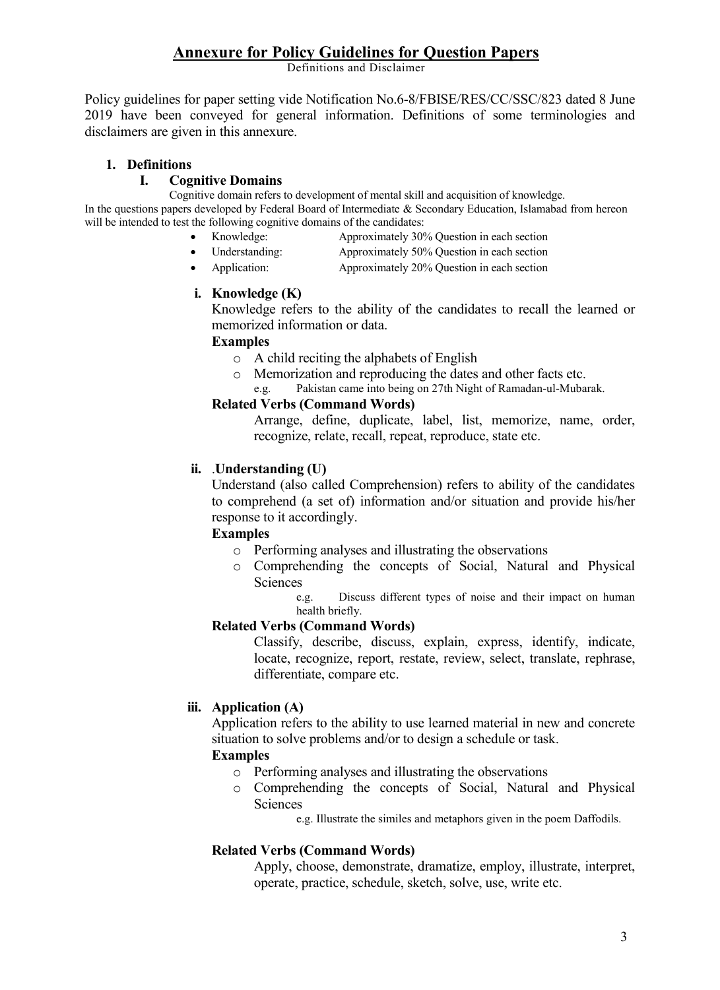## **Annexure for Policy Guidelines for Question Papers**

Definitions and Disclaimer

Policy guidelines for paper setting vide Notification No.6-8/FBISE/RES/CC/SSC/823 dated 8 June 2019 have been conveyed for general information. Definitions of some terminologies and disclaimers are given in this annexure.

#### **1. Definitions**

#### **I. Cognitive Domains**

Cognitive domain refers to development of mental skill and acquisition of knowledge. In the questions papers developed by Federal Board of Intermediate & Secondary Education, Islamabad from hereon will be intended to test the following cognitive domains of the candidates:

- Knowledge: Approximately 30% Question in each section
- Understanding: Approximately 50% Question in each section
	- Application: Approximately 20% Question in each section

#### **i. Knowledge (K)**

Knowledge refers to the ability of the candidates to recall the learned or memorized information or data.

#### **Examples**

- o A child reciting the alphabets of English
- o Memorization and reproducing the dates and other facts etc.
- e.g. Pakistan came into being on 27th Night of Ramadan-ul-Mubarak.

#### **Related Verbs (Command Words)**

Arrange, define, duplicate, label, list, memorize, name, order, recognize, relate, recall, repeat, reproduce, state etc.

#### **ii.** .**Understanding (U)**

Understand (also called Comprehension) refers to ability of the candidates to comprehend (a set of) information and/or situation and provide his/her response to it accordingly.

#### **Examples**

- o Performing analyses and illustrating the observations
- o Comprehending the concepts of Social, Natural and Physical Sciences

e.g. Discuss different types of noise and their impact on human health briefly.

#### **Related Verbs (Command Words)**

Classify, describe, discuss, explain, express, identify, indicate, locate, recognize, report, restate, review, select, translate, rephrase, differentiate, compare etc.

#### **iii. Application (A)**

Application refers to the ability to use learned material in new and concrete situation to solve problems and/or to design a schedule or task.

#### **Examples**

- o Performing analyses and illustrating the observations
- o Comprehending the concepts of Social, Natural and Physical **Sciences**

e.g. Illustrate the similes and metaphors given in the poem Daffodils.

#### **Related Verbs (Command Words)**

Apply, choose, demonstrate, dramatize, employ, illustrate, interpret, operate, practice, schedule, sketch, solve, use, write etc.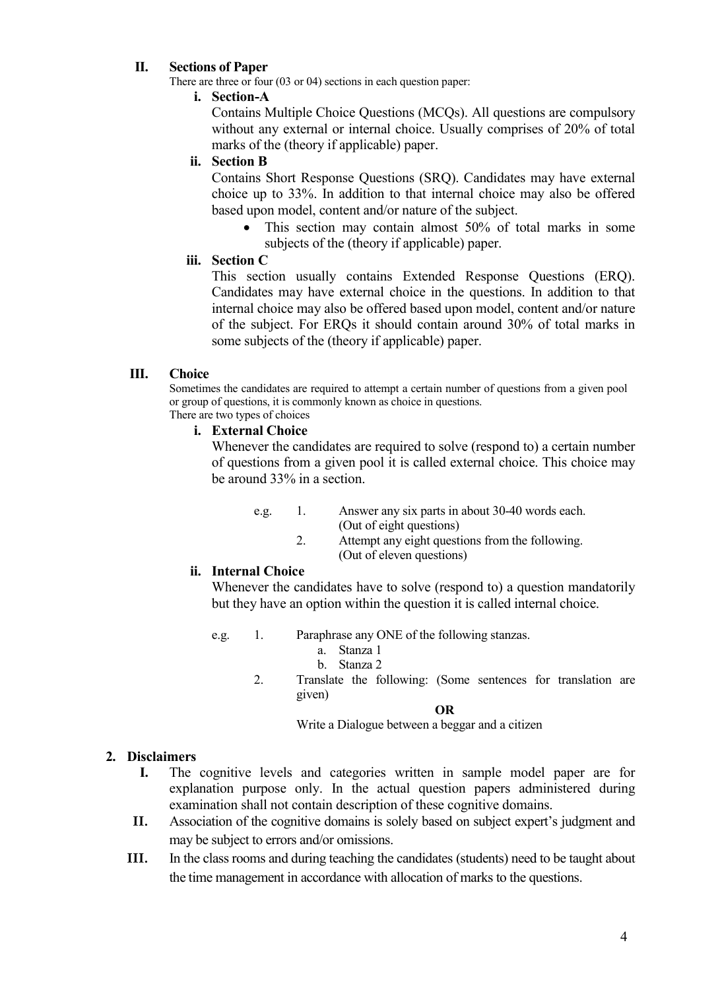#### **II. Sections of Paper**

There are three or four (03 or 04) sections in each question paper:

**i. Section-A** 

Contains Multiple Choice Questions (MCQs). All questions are compulsory without any external or internal choice. Usually comprises of 20% of total marks of the (theory if applicable) paper.

#### **ii. Section B**

Contains Short Response Questions (SRQ). Candidates may have external choice up to 33%. In addition to that internal choice may also be offered based upon model, content and/or nature of the subject.

 This section may contain almost 50% of total marks in some subjects of the (theory if applicable) paper.

#### **iii. Section C**

This section usually contains Extended Response Questions (ERQ). Candidates may have external choice in the questions. In addition to that internal choice may also be offered based upon model, content and/or nature of the subject. For ERQs it should contain around 30% of total marks in some subjects of the (theory if applicable) paper.

#### **III. Choice**

Sometimes the candidates are required to attempt a certain number of questions from a given pool or group of questions, it is commonly known as choice in questions. There are two types of choices

#### **i. External Choice**

Whenever the candidates are required to solve (respond to) a certain number of questions from a given pool it is called external choice. This choice may be around 33% in a section.

- e.g. 1. Answer any six parts in about 30-40 words each. (Out of eight questions)
	- 2. Attempt any eight questions from the following. (Out of eleven questions)

#### **ii. Internal Choice**

Whenever the candidates have to solve (respond to) a question mandatorily but they have an option within the question it is called internal choice.

- e.g. 1. Paraphrase any ONE of the following stanzas.
	- a. Stanza 1
	- b. Stanza 2
	- 2. Translate the following: (Some sentences for translation are given)

#### **OR**

Write a Dialogue between a beggar and a citizen

#### **2. Disclaimers**

- **I.** The cognitive levels and categories written in sample model paper are for explanation purpose only. In the actual question papers administered during examination shall not contain description of these cognitive domains.
- **II.** Association of the cognitive domains is solely based on subject expert's judgment and may be subject to errors and/or omissions.
- **III.** In the class rooms and during teaching the candidates (students) need to be taught about the time management in accordance with allocation of marks to the questions.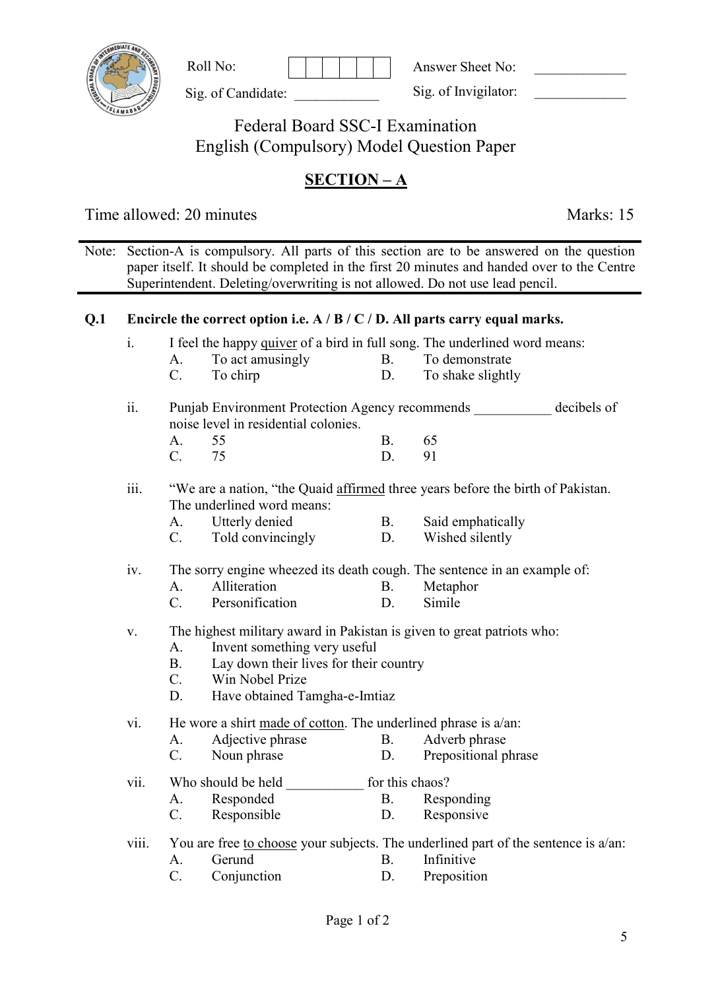| Roll No: |  |  |
|----------|--|--|

Sig. of Candidate:

Answer Sheet No: \_\_\_\_\_\_\_\_\_\_\_\_\_ Sig. of Invigilator:

# Federal Board SSC-I Examination English (Compulsory) Model Question Paper

# **SECTION – A**

Time allowed: 20 minutes Marks: 15

Note: Section-A is compulsory. All parts of this section are to be answered on the question paper itself. It should be completed in the first 20 minutes and handed over to the Centre Superintendent. Deleting/overwriting is not allowed. Do not use lead pencil.

## **Q.1 Encircle the correct option i.e. A / B / C / D. All parts carry equal marks.**

- i. I feel the happy quiver of a bird in full song. The underlined word means:
	- A. To act amusingly B. To demonstrate C. To chirp D. To shake slightly
- ii. Punjab Environment Protection Agency recommends decibels of noise level in residential colonies.
	- A. 55 B. 65 C. 75 D. 91

# iii. "We are a nation, "the Quaid affirmed three years before the birth of Pakistan. The underlined word means:<br>A. Utterly denied

- A. Utterly denied B. Said emphatically
- C. Told convincingly D. Wished silently

# iv. The sorry engine wheezed its death cough. The sentence in an example of:<br>A. Alliteration B. Metaphor

- A. Alliteration
	- C. Personification D. Simile
- v. The highest military award in Pakistan is given to great patriots who:
	- A. Invent something very useful
	- B. Lay down their lives for their country
	- C. Win Nobel Prize
	- D. Have obtained Tamgha-e-Imtiaz
- vi. He wore a shirt made of cotton. The underlined phrase is a/an:
	- A. Adjective phrase B. Adverb phrase
	- C. Noun phrase D. Prepositional phrase
- vii. Who should be held for this chaos?
	- A. Responded B. Responding
	- C. Responsible D. Responsive

viii. You are free to choose your subjects. The underlined part of the sentence is a/an:

- A. Gerund B. Infinitive
- C. Conjunction D. Preposition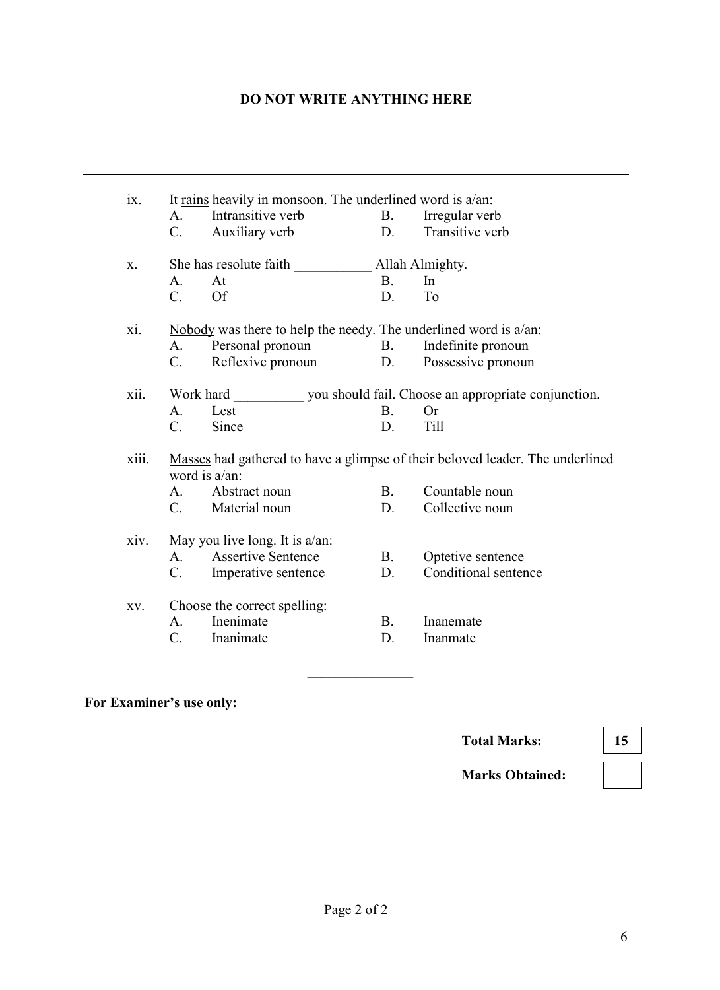## **DO NOT WRITE ANYTHING HERE**

| ix.         | It rains heavily in monsoon. The underlined word is $a/an$ :                  |                                                                     |                |                      |
|-------------|-------------------------------------------------------------------------------|---------------------------------------------------------------------|----------------|----------------------|
|             | A.                                                                            | Intransitive verb                                                   | <b>B.</b>      | Irregular verb       |
|             | C.                                                                            | Auxiliary verb                                                      | D.             | Transitive verb      |
|             |                                                                               |                                                                     |                |                      |
| $X_{\cdot}$ |                                                                               |                                                                     |                |                      |
|             | A.                                                                            | At                                                                  | <b>B.</b>      | In                   |
|             | C.                                                                            | <b>Of</b>                                                           | D.             | To                   |
|             |                                                                               |                                                                     |                |                      |
| xi.         |                                                                               | Nobody was there to help the needy. The underlined word is $a/an$ : |                |                      |
|             | A.                                                                            | Personal pronoun                                                    | $\mathbf{B}$ . | Indefinite pronoun   |
|             | $C_{\cdot}$                                                                   | Reflexive pronoun                                                   | D.             | Possessive pronoun   |
|             |                                                                               |                                                                     |                |                      |
| xii.        | Work hard you should fail. Choose an appropriate conjunction.                 |                                                                     |                |                      |
|             | A.                                                                            | Lest                                                                | <b>B.</b>      | <b>Or</b>            |
|             | C.                                                                            | Since                                                               | D.             | Till                 |
|             |                                                                               |                                                                     |                |                      |
| xiii.       | Masses had gathered to have a glimpse of their beloved leader. The underlined |                                                                     |                |                      |
|             |                                                                               | word is a/an:                                                       |                |                      |
|             | A.                                                                            | Abstract noun                                                       | <b>B</b> .     | Countable noun       |
|             | C.                                                                            | Material noun                                                       | D.             | Collective noun      |
|             |                                                                               |                                                                     |                |                      |
| xiv.        |                                                                               | May you live long. It is $a/an$ :                                   |                |                      |
|             | A.                                                                            | <b>Assertive Sentence</b>                                           | <b>B.</b>      | Optetive sentence    |
|             | C.                                                                            | Imperative sentence                                                 | D.             | Conditional sentence |
|             |                                                                               | Choose the correct spelling:                                        |                |                      |
| XV.         |                                                                               | Inenimate                                                           |                |                      |
|             | A.                                                                            |                                                                     | <b>B.</b>      | Inanemate            |
|             | $C_{\cdot}$                                                                   | Inanimate                                                           | D.             | Inanmate             |
|             |                                                                               |                                                                     |                |                      |

**For Examiner's use only:**

**Total Marks: 15**

**Marks Obtained:**

 $\overline{\phantom{a}}$  , where  $\overline{\phantom{a}}$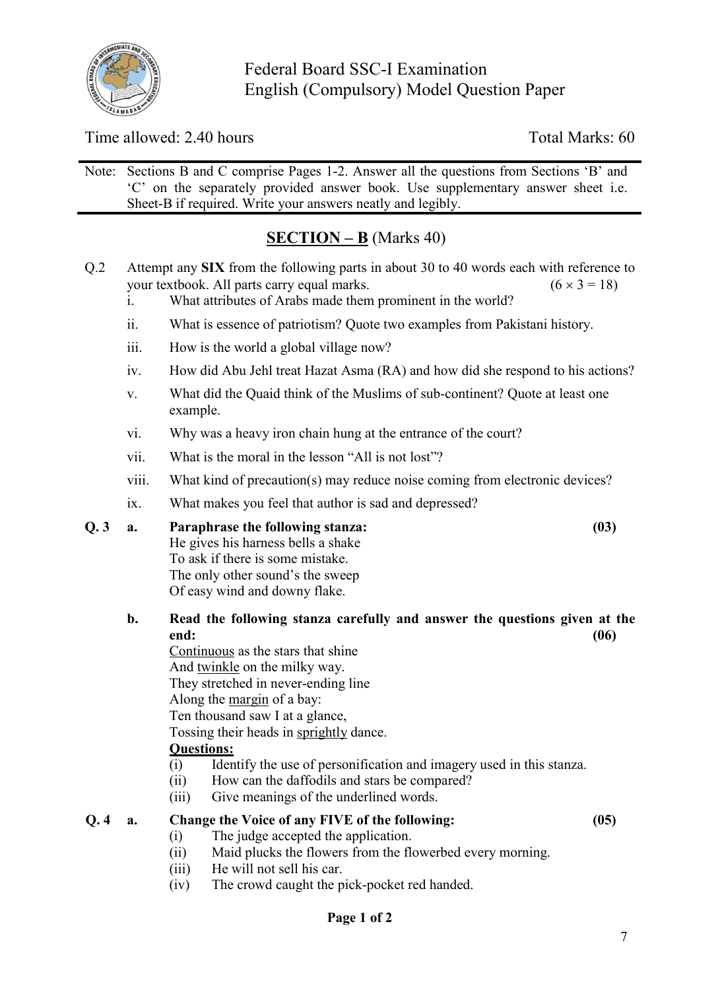

Time allowed: 2.40 hours Total Marks: 60

Note: Sections B and C comprise Pages 1-2. Answer all the questions from Sections 'B' and 'C' on the separately provided answer book. Use supplementary answer sheet i.e. Sheet-B if required. Write your answers neatly and legibly.

## **SECTION – B** (Marks 40)

- Q.2 Attempt any **SIX** from the following parts in about 30 to 40 words each with reference to your textbook. All parts carry equal marks.  $(6 \times 3 = 18)$ 
	- i. What attributes of Arabs made them prominent in the world?
	- ii. What is essence of patriotism? Quote two examples from Pakistani history.
	- iii. How is the world a global village now?
	- iv. How did Abu Jehl treat Hazat Asma (RA) and how did she respond to his actions?
	- v. What did the Quaid think of the Muslims of sub-continent? Quote at least one example.
	- vi. Why was a heavy iron chain hung at the entrance of the court?
	- vii. What is the moral in the lesson "All is not lost"?
	- viii. What kind of precaution(s) may reduce noise coming from electronic devices?
	- ix. What makes you feel that author is sad and depressed?
- **Q. 3 a. Paraphrase the following stanza: (03)** He gives his harness bells a shake To ask if there is some mistake. The only other sound's the sweep Of easy wind and downy flake.
	- **b. Read the following stanza carefully and answer the questions given at the end: (06)** Continuous as the stars that shine

And twinkle on the milky way. They stretched in never-ending line Along the margin of a bay: Ten thousand saw I at a glance, Tossing their heads in sprightly dance.

## **Questions:**

- (i) Identify the use of personification and imagery used in this stanza.
- (ii) How can the daffodils and stars be compared?
- (iii) Give meanings of the underlined words.

#### **Q. 4 a. Change the Voice of any FIVE of the following: (05)**

- (i) The judge accepted the application.
- (ii) Maid plucks the flowers from the flowerbed every morning.
- (iii) He will not sell his car.
- (iv) The crowd caught the pick-pocket red handed.